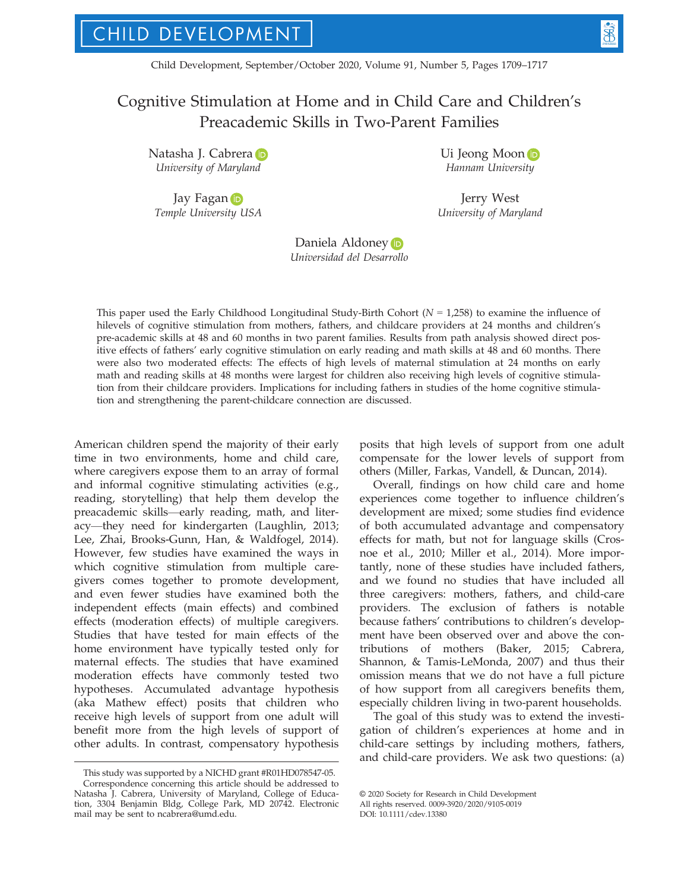Child Development, September/October 2020, Volume 91, Number 5, Pages 1709–1717

# Cognitive Stimulation at Home and in Child Care and Children's Preacademic Skills in Two-Parent Families

N[a](https://orcid.org/0000-0002-1558-7356)tasha J. Cabrera D University of Maryland

Jay Faga[n](https://orcid.org/0000-0002-0042-3981) D Temple University USA Ui Jeo[n](https://orcid.org/0000-0002-3499-3704)g Moon Hannam University

Jerry West University of Maryland

Daniela Aldone[y](https://orcid.org/0000-0002-7679-1991)<sup>D</sup> Universidad del Desarrollo

This paper used the Early Childhood Longitudinal Study-Birth Cohort ( $N = 1,258$ ) to examine the influence of hilevels of cognitive stimulation from mothers, fathers, and childcare providers at 24 months and children's pre-academic skills at 48 and 60 months in two parent families. Results from path analysis showed direct positive effects of fathers' early cognitive stimulation on early reading and math skills at 48 and 60 months. There were also two moderated effects: The effects of high levels of maternal stimulation at 24 months on early math and reading skills at 48 months were largest for children also receiving high levels of cognitive stimulation from their childcare providers. Implications for including fathers in studies of the home cognitive stimulation and strengthening the parent-childcare connection are discussed.

American children spend the majority of their early time in two environments, home and child care, where caregivers expose them to an array of formal and informal cognitive stimulating activities (e.g., reading, storytelling) that help them develop the preacademic skills—early reading, math, and literacy—they need for kindergarten (Laughlin, 2013; Lee, Zhai, Brooks-Gunn, Han, & Waldfogel, 2014). However, few studies have examined the ways in which cognitive stimulation from multiple caregivers comes together to promote development, and even fewer studies have examined both the independent effects (main effects) and combined effects (moderation effects) of multiple caregivers. Studies that have tested for main effects of the home environment have typically tested only for maternal effects. The studies that have examined moderation effects have commonly tested two hypotheses. Accumulated advantage hypothesis (aka Mathew effect) posits that children who receive high levels of support from one adult will benefit more from the high levels of support of other adults. In contrast, compensatory hypothesis posits that high levels of support from one adult compensate for the lower levels of support from others (Miller, Farkas, Vandell, & Duncan, 2014).

Overall, findings on how child care and home experiences come together to influence children's development are mixed; some studies find evidence of both accumulated advantage and compensatory effects for math, but not for language skills (Crosnoe et al., 2010; Miller et al., 2014). More importantly, none of these studies have included fathers, and we found no studies that have included all three caregivers: mothers, fathers, and child-care providers. The exclusion of fathers is notable because fathers' contributions to children's development have been observed over and above the contributions of mothers (Baker, 2015; Cabrera, Shannon, & Tamis-LeMonda, 2007) and thus their omission means that we do not have a full picture of how support from all caregivers benefits them, especially children living in two-parent households.

The goal of this study was to extend the investigation of children's experiences at home and in child-care settings by including mothers, fathers, and child-care providers. We ask two questions: (a)

This study was supported by a NICHD grant #R01HD078547-05. Correspondence concerning this article should be addressed to Natasha J. Cabrera, University of Maryland, College of Education, 3304 Benjamin Bldg, College Park, MD 20742. Electronic mail may be sent to [ncabrera@umd.edu](mailto:).

<sup>©</sup> 2020 Society for Research in Child Development All rights reserved. 0009-3920/2020/9105-0019

DOI: 10.1111/cdev.13380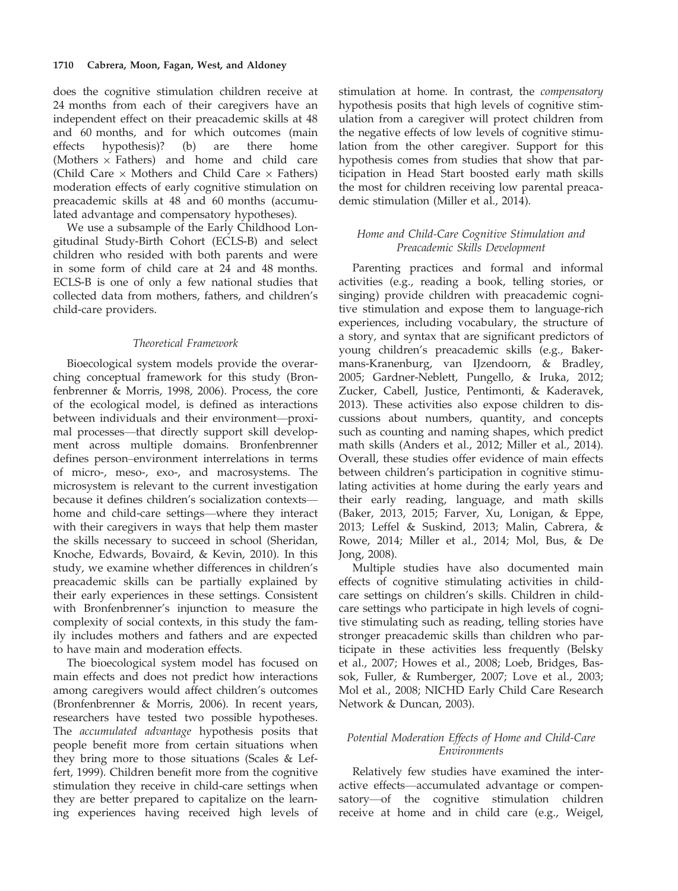does the cognitive stimulation children receive at 24 months from each of their caregivers have an independent effect on their preacademic skills at 48 and 60 months, and for which outcomes (main effects hypothesis)? (b) are there home (Mothers  $\times$  Fathers) and home and child care (Child Care  $\times$  Mothers and Child Care  $\times$  Fathers) moderation effects of early cognitive stimulation on preacademic skills at 48 and 60 months (accumulated advantage and compensatory hypotheses).

We use a subsample of the Early Childhood Longitudinal Study-Birth Cohort (ECLS-B) and select children who resided with both parents and were in some form of child care at 24 and 48 months. ECLS-B is one of only a few national studies that collected data from mothers, fathers, and children's child-care providers.

# Theoretical Framework

Bioecological system models provide the overarching conceptual framework for this study (Bronfenbrenner & Morris, 1998, 2006). Process, the core of the ecological model, is defined as interactions between individuals and their environment—proximal processes—that directly support skill development across multiple domains. Bronfenbrenner defines person–environment interrelations in terms of micro-, meso-, exo-, and macrosystems. The microsystem is relevant to the current investigation because it defines children's socialization contexts home and child-care settings—where they interact with their caregivers in ways that help them master the skills necessary to succeed in school (Sheridan, Knoche, Edwards, Bovaird, & Kevin, 2010). In this study, we examine whether differences in children's preacademic skills can be partially explained by their early experiences in these settings. Consistent with Bronfenbrenner's injunction to measure the complexity of social contexts, in this study the family includes mothers and fathers and are expected to have main and moderation effects.

The bioecological system model has focused on main effects and does not predict how interactions among caregivers would affect children's outcomes (Bronfenbrenner & Morris, 2006). In recent years, researchers have tested two possible hypotheses. The accumulated advantage hypothesis posits that people benefit more from certain situations when they bring more to those situations (Scales & Leffert, 1999). Children benefit more from the cognitive stimulation they receive in child-care settings when they are better prepared to capitalize on the learning experiences having received high levels of stimulation at home. In contrast, the compensatory hypothesis posits that high levels of cognitive stimulation from a caregiver will protect children from the negative effects of low levels of cognitive stimulation from the other caregiver. Support for this hypothesis comes from studies that show that participation in Head Start boosted early math skills the most for children receiving low parental preacademic stimulation (Miller et al., 2014).

# Home and Child-Care Cognitive Stimulation and Preacademic Skills Development

Parenting practices and formal and informal activities (e.g., reading a book, telling stories, or singing) provide children with preacademic cognitive stimulation and expose them to language-rich experiences, including vocabulary, the structure of a story, and syntax that are significant predictors of young children's preacademic skills (e.g., Bakermans-Kranenburg, van IJzendoorn, & Bradley, 2005; Gardner-Neblett, Pungello, & Iruka, 2012; Zucker, Cabell, Justice, Pentimonti, & Kaderavek, 2013). These activities also expose children to discussions about numbers, quantity, and concepts such as counting and naming shapes, which predict math skills (Anders et al., 2012; Miller et al., 2014). Overall, these studies offer evidence of main effects between children's participation in cognitive stimulating activities at home during the early years and their early reading, language, and math skills (Baker, 2013, 2015; Farver, Xu, Lonigan, & Eppe, 2013; Leffel & Suskind, 2013; Malin, Cabrera, & Rowe, 2014; Miller et al., 2014; Mol, Bus, & De Jong, 2008).

Multiple studies have also documented main effects of cognitive stimulating activities in childcare settings on children's skills. Children in childcare settings who participate in high levels of cognitive stimulating such as reading, telling stories have stronger preacademic skills than children who participate in these activities less frequently (Belsky et al., 2007; Howes et al., 2008; Loeb, Bridges, Bassok, Fuller, & Rumberger, 2007; Love et al., 2003; Mol et al., 2008; NICHD Early Child Care Research Network & Duncan, 2003).

# Potential Moderation Effects of Home and Child-Care Environments

Relatively few studies have examined the interactive effects—accumulated advantage or compensatory—of the cognitive stimulation children receive at home and in child care (e.g., Weigel,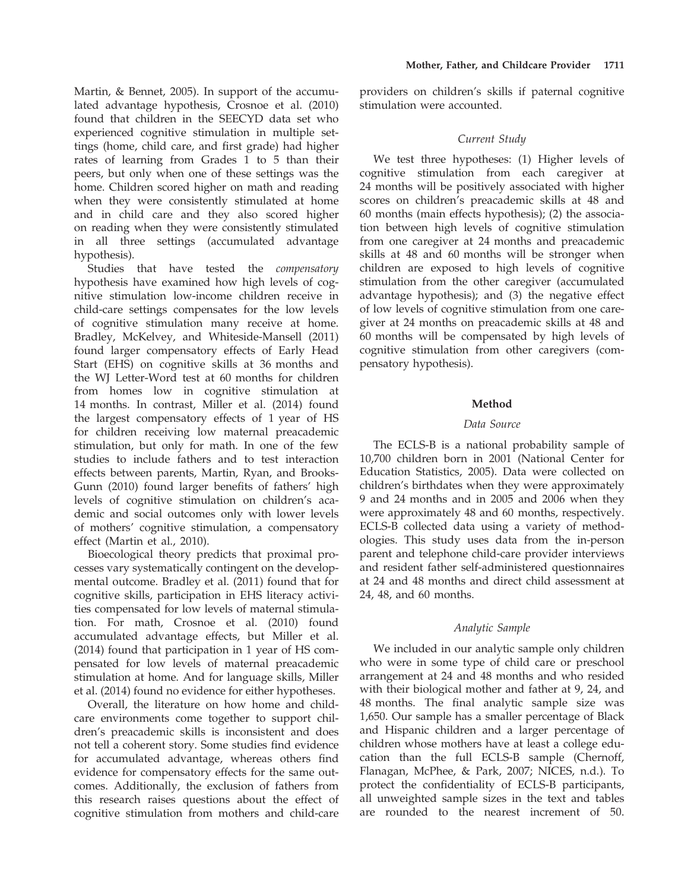Martin, & Bennet, 2005). In support of the accumulated advantage hypothesis, Crosnoe et al. (2010) found that children in the SEECYD data set who experienced cognitive stimulation in multiple settings (home, child care, and first grade) had higher rates of learning from Grades 1 to 5 than their peers, but only when one of these settings was the home. Children scored higher on math and reading when they were consistently stimulated at home and in child care and they also scored higher on reading when they were consistently stimulated in all three settings (accumulated advantage hypothesis).

Studies that have tested the compensatory hypothesis have examined how high levels of cognitive stimulation low-income children receive in child-care settings compensates for the low levels of cognitive stimulation many receive at home. Bradley, McKelvey, and Whiteside-Mansell (2011) found larger compensatory effects of Early Head Start (EHS) on cognitive skills at 36 months and the WJ Letter-Word test at 60 months for children from homes low in cognitive stimulation at 14 months. In contrast, Miller et al. (2014) found the largest compensatory effects of 1 year of HS for children receiving low maternal preacademic stimulation, but only for math. In one of the few studies to include fathers and to test interaction effects between parents, Martin, Ryan, and Brooks-Gunn (2010) found larger benefits of fathers' high levels of cognitive stimulation on children's academic and social outcomes only with lower levels of mothers' cognitive stimulation, a compensatory effect (Martin et al., 2010).

Bioecological theory predicts that proximal processes vary systematically contingent on the developmental outcome. Bradley et al. (2011) found that for cognitive skills, participation in EHS literacy activities compensated for low levels of maternal stimulation. For math, Crosnoe et al. (2010) found accumulated advantage effects, but Miller et al. (2014) found that participation in 1 year of HS compensated for low levels of maternal preacademic stimulation at home. And for language skills, Miller et al. (2014) found no evidence for either hypotheses.

Overall, the literature on how home and childcare environments come together to support children's preacademic skills is inconsistent and does not tell a coherent story. Some studies find evidence for accumulated advantage, whereas others find evidence for compensatory effects for the same outcomes. Additionally, the exclusion of fathers from this research raises questions about the effect of cognitive stimulation from mothers and child-care

providers on children's skills if paternal cognitive stimulation were accounted.

## Current Study

We test three hypotheses: (1) Higher levels of cognitive stimulation from each caregiver at 24 months will be positively associated with higher scores on children's preacademic skills at 48 and 60 months (main effects hypothesis); (2) the association between high levels of cognitive stimulation from one caregiver at 24 months and preacademic skills at 48 and 60 months will be stronger when children are exposed to high levels of cognitive stimulation from the other caregiver (accumulated advantage hypothesis); and (3) the negative effect of low levels of cognitive stimulation from one caregiver at 24 months on preacademic skills at 48 and 60 months will be compensated by high levels of cognitive stimulation from other caregivers (compensatory hypothesis).

#### Method

## Data Source

The ECLS-B is a national probability sample of 10,700 children born in 2001 (National Center for Education Statistics, 2005). Data were collected on children's birthdates when they were approximately 9 and 24 months and in 2005 and 2006 when they were approximately 48 and 60 months, respectively. ECLS-B collected data using a variety of methodologies. This study uses data from the in-person parent and telephone child-care provider interviews and resident father self-administered questionnaires at 24 and 48 months and direct child assessment at 24, 48, and 60 months.

#### Analytic Sample

We included in our analytic sample only children who were in some type of child care or preschool arrangement at 24 and 48 months and who resided with their biological mother and father at 9, 24, and 48 months. The final analytic sample size was 1,650. Our sample has a smaller percentage of Black and Hispanic children and a larger percentage of children whose mothers have at least a college education than the full ECLS-B sample (Chernoff, Flanagan, McPhee, & Park, 2007; NICES, n.d.). To protect the confidentiality of ECLS-B participants, all unweighted sample sizes in the text and tables are rounded to the nearest increment of 50.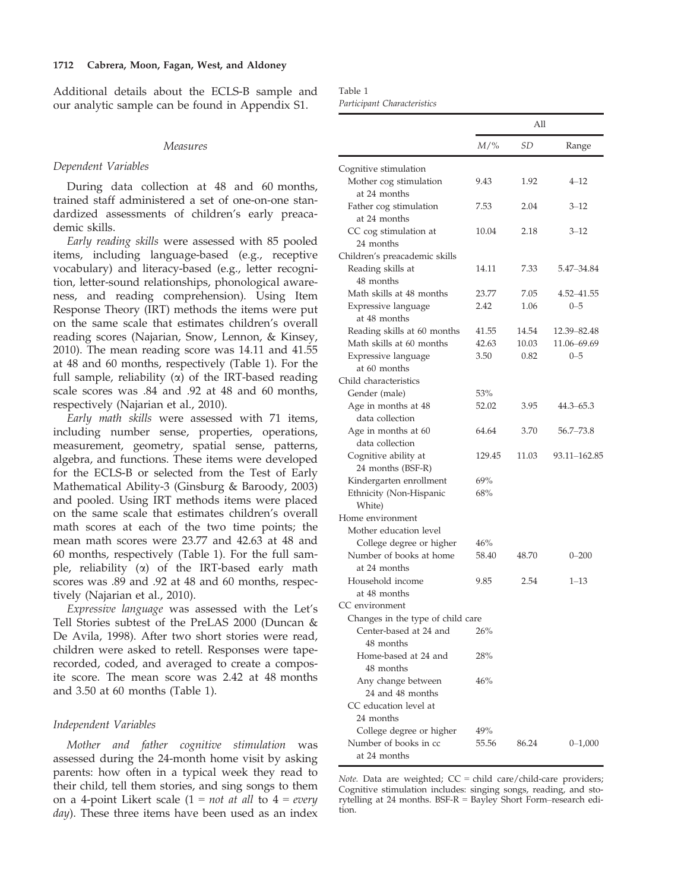Additional details about the ECLS-B sample and our analytic sample can be found in Appendix S1.

#### Measures

#### Dependent Variables

During data collection at 48 and 60 months, trained staff administered a set of one-on-one standardized assessments of children's early preacademic skills.

Early reading skills were assessed with 85 pooled items, including language-based (e.g., receptive vocabulary) and literacy-based (e.g., letter recognition, letter-sound relationships, phonological awareness, and reading comprehension). Using Item Response Theory (IRT) methods the items were put on the same scale that estimates children's overall reading scores (Najarian, Snow, Lennon, & Kinsey, 2010). The mean reading score was 14.11 and 41.55 at 48 and 60 months, respectively (Table 1). For the full sample, reliability  $(\alpha)$  of the IRT-based reading scale scores was .84 and .92 at 48 and 60 months, respectively (Najarian et al., 2010).

Early math skills were assessed with 71 items, including number sense, properties, operations, measurement, geometry, spatial sense, patterns, algebra, and functions. These items were developed for the ECLS-B or selected from the Test of Early Mathematical Ability-3 (Ginsburg & Baroody, 2003) and pooled. Using IRT methods items were placed on the same scale that estimates children's overall math scores at each of the two time points; the mean math scores were 23.77 and 42.63 at 48 and 60 months, respectively (Table 1). For the full sample, reliability  $(\alpha)$  of the IRT-based early math scores was .89 and .92 at 48 and 60 months, respectively (Najarian et al., 2010).

Expressive language was assessed with the Let's Tell Stories subtest of the PreLAS 2000 (Duncan & De Avila, 1998). After two short stories were read, children were asked to retell. Responses were taperecorded, coded, and averaged to create a composite score. The mean score was 2.42 at 48 months and 3.50 at 60 months (Table 1).

# Independent Variables

Mother and father cognitive stimulation was assessed during the 24-month home visit by asking parents: how often in a typical week they read to their child, tell them stories, and sing songs to them on a 4-point Likert scale  $(1 = not at all to 4 = every$ day). These three items have been used as an index

Table 1 Participant Characteristics

|                                           | All    |       |               |
|-------------------------------------------|--------|-------|---------------|
|                                           | $M/\%$ | SD    | Range         |
| Cognitive stimulation                     |        |       |               |
| Mother cog stimulation<br>at 24 months    | 9.43   | 1.92  | $4 - 12$      |
| Father cog stimulation<br>at 24 months    | 7.53   | 2.04  | 3–12          |
| CC cog stimulation at<br>24 months        | 10.04  | 2.18  | 3–12          |
| Children's preacademic skills             |        |       |               |
| Reading skills at<br>48 months            | 14.11  | 7.33  | 5.47-34.84    |
| Math skills at 48 months                  | 23.77  | 7.05  | 4.52-41.55    |
| Expressive language<br>at 48 months       | 2.42   | 1.06  | $0 - 5$       |
| Reading skills at 60 months               | 41.55  | 14.54 | 12.39-82.48   |
| Math skills at 60 months                  | 42.63  | 10.03 | 11.06–69.69   |
| Expressive language                       | 3.50   | 0.82  | $0 - 5$       |
| at 60 months                              |        |       |               |
| Child characteristics                     |        |       |               |
| Gender (male)                             | 53%    |       |               |
| Age in months at 48                       | 52.02  | 3.95  | $44.3 - 65.3$ |
| data collection                           |        |       |               |
| Age in months at 60                       | 64.64  | 3.70  | $56.7 - 73.8$ |
| data collection                           |        |       |               |
| Cognitive ability at<br>24 months (BSF-R) | 129.45 | 11.03 | 93.11–162.85  |
| Kindergarten enrollment                   | 69%    |       |               |
| Ethnicity (Non-Hispanic<br>White)         | 68%    |       |               |
| Home environment                          |        |       |               |
| Mother education level                    |        |       |               |
| College degree or higher                  | 46%    |       |               |
| Number of books at home<br>at 24 months   | 58.40  | 48.70 | $0 - 200$     |
| Household income<br>at 48 months          | 9.85   | 2.54  | $1 - 13$      |
| CC environment                            |        |       |               |
| Changes in the type of child care         |        |       |               |
| Center-based at 24 and<br>48 months       | 26%    |       |               |
| Home-based at 24 and<br>48 months         | 28%    |       |               |
| Any change between<br>24 and 48 months    | 46%    |       |               |
| CC education level at<br>24 months        |        |       |               |
| College degree or higher                  | 49%    |       |               |
| Number of books in cc                     | 55.56  | 86.24 | $0 - 1,000$   |
| at 24 months                              |        |       |               |

Note. Data are weighted;  $CC = child$  care/child-care providers; Cognitive stimulation includes: singing songs, reading, and storytelling at 24 months. BSF-R = Bayley Short Form–research edition.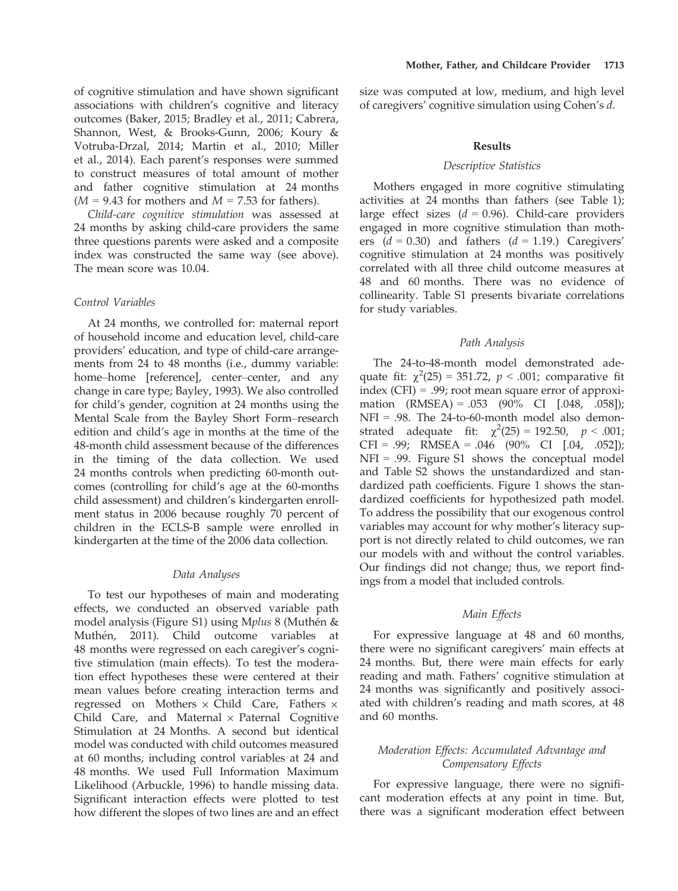of cognitive stimulation and have shown significant associations with children's cognitive and literacy outcomes (Baker, 2015; Bradley et al., 2011; Cabrera, Shannon, West, & Brooks-Gunn, 2006; Koury & Votruba-Drzal, 2014; Martin et al., 2010; Miller et al., 2014). Each parent's responses were summed to construct measures of total amount of mother and father cognitive stimulation at 24 months  $(M = 9.43$  for mothers and  $M = 7.53$  for fathers).

Child-care cognitive stimulation was assessed at 24 months by asking child-care providers the same three questions parents were asked and a composite index was constructed the same way (see above). The mean score was 10.04.

## Control Variables

At 24 months, we controlled for: maternal report of household income and education level, child-care providers' education, and type of child-care arrangements from 24 to 48 months (i.e., dummy variable: home–home [reference], center–center, and any change in care type; Bayley, 1993). We also controlled for child's gender, cognition at 24 months using the Mental Scale from the Bayley Short Form–research edition and child's age in months at the time of the 48-month child assessment because of the differences in the timing of the data collection. We used 24 months controls when predicting 60-month outcomes (controlling for child's age at the 60-months child assessment) and children's kindergarten enrollment status in 2006 because roughly 70 percent of children in the ECLS-B sample were enrolled in kindergarten at the time of the 2006 data collection.

## Data Analyses

To test our hypotheses of main and moderating effects, we conducted an observed variable path model analysis (Figure S1) using Mplus 8 (Muthen & Muthén, 2011). Child outcome variables at 48 months were regressed on each caregiver's cognitive stimulation (main effects). To test the moderation effect hypotheses these were centered at their mean values before creating interaction terms and regressed on Mothers  $\times$  Child Care, Fathers  $\times$ Child Care, and Maternal  $\times$  Paternal Cognitive Stimulation at 24 Months. A second but identical model was conducted with child outcomes measured at 60 months, including control variables at 24 and 48 months. We used Full Information Maximum Likelihood (Arbuckle, 1996) to handle missing data. Significant interaction effects were plotted to test how different the slopes of two lines are and an effect

size was computed at low, medium, and high level of caregivers' cognitive simulation using Cohen's d.

#### Results

## Descriptive Statistics

Mothers engaged in more cognitive stimulating activities at 24 months than fathers (see Table 1); large effect sizes  $(d = 0.96)$ . Child-care providers engaged in more cognitive stimulation than mothers  $(d = 0.30)$  and fathers  $(d = 1.19)$ . Caregivers' cognitive stimulation at 24 months was positively correlated with all three child outcome measures at 48 and 60 months. There was no evidence of collinearity. Table S1 presents bivariate correlations for study variables.

#### Path Analysis

The 24-to-48-month model demonstrated adequate fit:  $\chi^2(25) = 351.72$ ,  $p < .001$ ; comparative fit index (CFI) = .99; root mean square error of approximation (RMSEA) = .053 (90% CI [.048, .058]);  $NFI = .98$ . The 24-to-60-month model also demonstrated adequate fit:  $\chi^2(25) = 192.50, p < .001;$  $CFI = .99; RMSEA = .046 (90\% CI [.04, .052]);$ NFI = .99. Figure S1 shows the conceptual model and Table S2 shows the unstandardized and standardized path coefficients. Figure 1 shows the standardized coefficients for hypothesized path model. To address the possibility that our exogenous control variables may account for why mother's literacy support is not directly related to child outcomes, we ran our models with and without the control variables. Our findings did not change; thus, we report findings from a model that included controls.

## Main Effects

For expressive language at 48 and 60 months, there were no significant caregivers' main effects at 24 months. But, there were main effects for early reading and math. Fathers' cognitive stimulation at 24 months was significantly and positively associated with children's reading and math scores, at 48 and 60 months.

# Moderation Effects: Accumulated Advantage and Compensatory Effects

For expressive language, there were no significant moderation effects at any point in time. But, there was a significant moderation effect between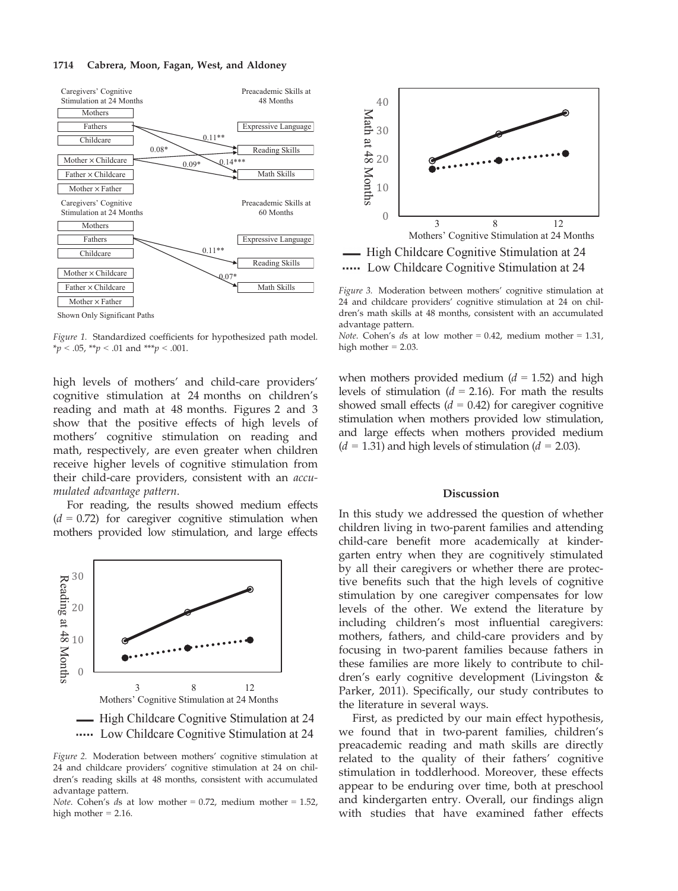#### 1714 Cabrera, Moon, Fagan, West, and Aldoney



Figure 1. Standardized coefficients for hypothesized path model. \*p < .05, \*\*p < .01 and \*\*\*p < .001.

high levels of mothers' and child-care providers' cognitive stimulation at 24 months on children's reading and math at 48 months. Figures 2 and 3 show that the positive effects of high levels of mothers' cognitive stimulation on reading and math, respectively, are even greater when children receive higher levels of cognitive stimulation from their child-care providers, consistent with an accumulated advantage pattern.

For reading, the results showed medium effects  $(d = 0.72)$  for caregiver cognitive stimulation when mothers provided low stimulation, and large effects



Figure 2. Moderation between mothers' cognitive stimulation at 24 and childcare providers' cognitive stimulation at 24 on children's reading skills at 48 months, consistent with accumulated advantage pattern.





Figure 3. Moderation between mothers' cognitive stimulation at 24 and childcare providers' cognitive stimulation at 24 on children's math skills at 48 months, consistent with an accumulated advantage pattern.

Note. Cohen's ds at low mother =  $0.42$ , medium mother =  $1.31$ , high mother = 2.03.

when mothers provided medium  $(d = 1.52)$  and high levels of stimulation ( $d = 2.16$ ). For math the results showed small effects  $(d = 0.42)$  for caregiver cognitive stimulation when mothers provided low stimulation, and large effects when mothers provided medium  $(d = 1.31)$  and high levels of stimulation  $(d = 2.03)$ .

#### **Discussion**

In this study we addressed the question of whether children living in two-parent families and attending child-care benefit more academically at kindergarten entry when they are cognitively stimulated by all their caregivers or whether there are protective benefits such that the high levels of cognitive stimulation by one caregiver compensates for low levels of the other. We extend the literature by including children's most influential caregivers: mothers, fathers, and child-care providers and by focusing in two-parent families because fathers in these families are more likely to contribute to children's early cognitive development (Livingston & Parker, 2011). Specifically, our study contributes to the literature in several ways.

First, as predicted by our main effect hypothesis, we found that in two-parent families, children's preacademic reading and math skills are directly related to the quality of their fathers' cognitive stimulation in toddlerhood. Moreover, these effects appear to be enduring over time, both at preschool and kindergarten entry. Overall, our findings align with studies that have examined father effects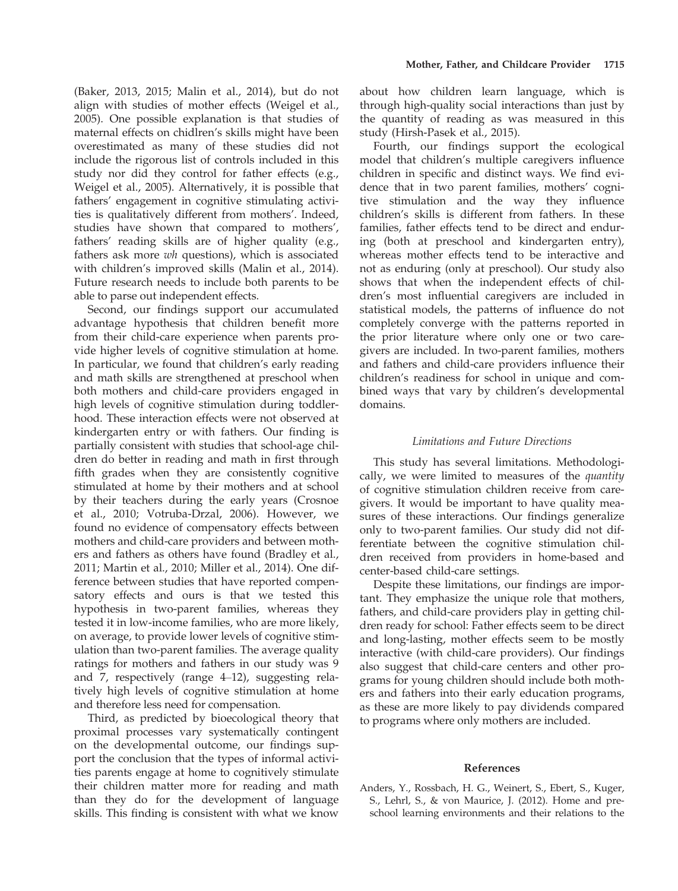(Baker, 2013, 2015; Malin et al., 2014), but do not align with studies of mother effects (Weigel et al., 2005). One possible explanation is that studies of maternal effects on chidlren's skills might have been overestimated as many of these studies did not include the rigorous list of controls included in this study nor did they control for father effects (e.g., Weigel et al., 2005). Alternatively, it is possible that fathers' engagement in cognitive stimulating activities is qualitatively different from mothers'. Indeed, studies have shown that compared to mothers', fathers' reading skills are of higher quality (e.g., fathers ask more wh questions), which is associated with children's improved skills (Malin et al., 2014). Future research needs to include both parents to be able to parse out independent effects.

Second, our findings support our accumulated advantage hypothesis that children benefit more from their child-care experience when parents provide higher levels of cognitive stimulation at home. In particular, we found that children's early reading and math skills are strengthened at preschool when both mothers and child-care providers engaged in high levels of cognitive stimulation during toddlerhood. These interaction effects were not observed at kindergarten entry or with fathers. Our finding is partially consistent with studies that school-age children do better in reading and math in first through fifth grades when they are consistently cognitive stimulated at home by their mothers and at school by their teachers during the early years (Crosnoe et al., 2010; Votruba-Drzal, 2006). However, we found no evidence of compensatory effects between mothers and child-care providers and between mothers and fathers as others have found (Bradley et al., 2011; Martin et al., 2010; Miller et al., 2014). One difference between studies that have reported compensatory effects and ours is that we tested this hypothesis in two-parent families, whereas they tested it in low-income families, who are more likely, on average, to provide lower levels of cognitive stimulation than two-parent families. The average quality ratings for mothers and fathers in our study was 9 and 7, respectively (range 4–12), suggesting relatively high levels of cognitive stimulation at home and therefore less need for compensation.

Third, as predicted by bioecological theory that proximal processes vary systematically contingent on the developmental outcome, our findings support the conclusion that the types of informal activities parents engage at home to cognitively stimulate their children matter more for reading and math than they do for the development of language skills. This finding is consistent with what we know

about how children learn language, which is through high-quality social interactions than just by the quantity of reading as was measured in this study (Hirsh-Pasek et al., 2015).

Fourth, our findings support the ecological model that children's multiple caregivers influence children in specific and distinct ways. We find evidence that in two parent families, mothers' cognitive stimulation and the way they influence children's skills is different from fathers. In these families, father effects tend to be direct and enduring (both at preschool and kindergarten entry), whereas mother effects tend to be interactive and not as enduring (only at preschool). Our study also shows that when the independent effects of children's most influential caregivers are included in statistical models, the patterns of influence do not completely converge with the patterns reported in the prior literature where only one or two caregivers are included. In two-parent families, mothers and fathers and child-care providers influence their children's readiness for school in unique and combined ways that vary by children's developmental domains.

# Limitations and Future Directions

This study has several limitations. Methodologically, we were limited to measures of the quantity of cognitive stimulation children receive from caregivers. It would be important to have quality measures of these interactions. Our findings generalize only to two-parent families. Our study did not differentiate between the cognitive stimulation children received from providers in home-based and center-based child-care settings.

Despite these limitations, our findings are important. They emphasize the unique role that mothers, fathers, and child-care providers play in getting children ready for school: Father effects seem to be direct and long-lasting, mother effects seem to be mostly interactive (with child-care providers). Our findings also suggest that child-care centers and other programs for young children should include both mothers and fathers into their early education programs, as these are more likely to pay dividends compared to programs where only mothers are included.

## References

Anders, Y., Rossbach, H. G., Weinert, S., Ebert, S., Kuger, S., Lehrl, S., & von Maurice, J. (2012). Home and preschool learning environments and their relations to the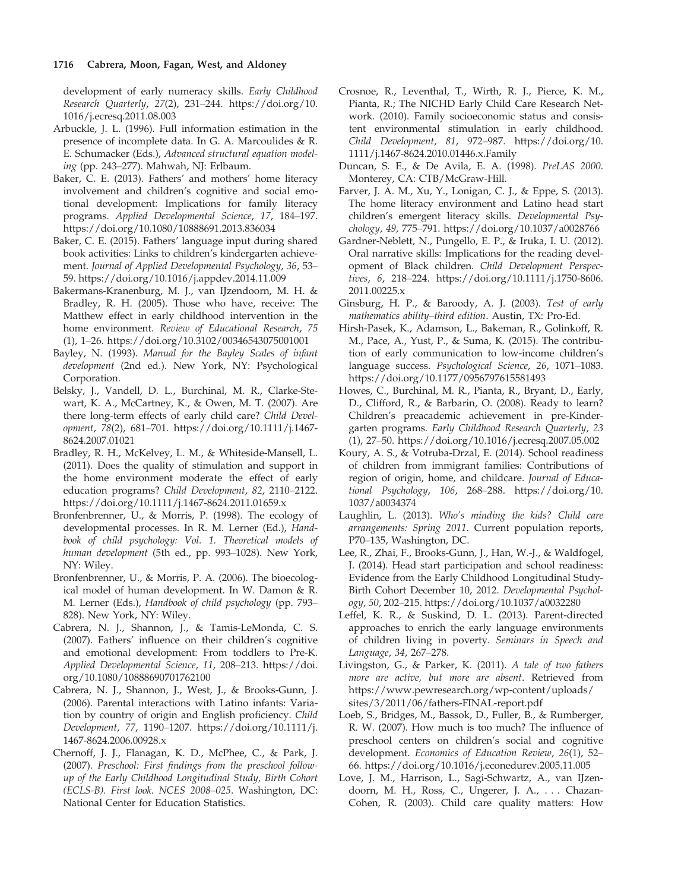development of early numeracy skills. Early Childhood Research Quarterly, 27(2), 231–244. [https://doi.org/10.](https://doi.org/10.1016/j.ecresq.2011.08.003) [1016/j.ecresq.2011.08.003](https://doi.org/10.1016/j.ecresq.2011.08.003)

- Arbuckle, J. L. (1996). Full information estimation in the presence of incomplete data. In G. A. Marcoulides & R. E. Schumacker (Eds.), Advanced structural equation modeling (pp. 243–277). Mahwah, NJ: Erlbaum.
- Baker, C. E. (2013). Fathers' and mothers' home literacy involvement and children's cognitive and social emotional development: Implications for family literacy programs. Applied Developmental Science, 17, 184–197. <https://doi.org/10.1080/10888691.2013.836034>
- Baker, C. E. (2015). Fathers' language input during shared book activities: Links to children's kindergarten achievement. Journal of Applied Developmental Psychology, 36, 53– 59.<https://doi.org/10.1016/j.appdev.2014.11.009>
- Bakermans-Kranenburg, M. J., van IJzendoorn, M. H. & Bradley, R. H. (2005). Those who have, receive: The Matthew effect in early childhood intervention in the home environment. Review of Educational Research, 75 (1), 1–26.<https://doi.org/10.3102/00346543075001001>
- Bayley, N. (1993). Manual for the Bayley Scales of infant development (2nd ed.). New York, NY: Psychological Corporation.
- Belsky, J., Vandell, D. L., Burchinal, M. R., Clarke-Stewart, K. A., McCartney, K., & Owen, M. T. (2007). Are there long-term effects of early child care? Child Development, 78(2), 681–701. [https://doi.org/10.1111/j.1467-](https://doi.org/10.1111/j.1467-8624.2007.01021) [8624.2007.01021](https://doi.org/10.1111/j.1467-8624.2007.01021)
- Bradley, R. H., McKelvey, L. M., & Whiteside-Mansell, L. (2011). Does the quality of stimulation and support in the home environment moderate the effect of early education programs? Child Development, 82, 2110–2122. <https://doi.org/10.1111/j.1467-8624.2011.01659.x>
- Bronfenbrenner, U., & Morris, P. (1998). The ecology of developmental processes. In R. M. Lerner (Ed.), Handbook of child psychology: Vol. 1. Theoretical models of human development (5th ed., pp. 993–1028). New York, NY: Wiley.
- Bronfenbrenner, U., & Morris, P. A. (2006). The bioecological model of human development. In W. Damon & R. M. Lerner (Eds.), Handbook of child psychology (pp. 793– 828). New York, NY: Wiley.
- Cabrera, N. J., Shannon, J., & Tamis-LeMonda, C. S. (2007). Fathers' influence on their children's cognitive and emotional development: From toddlers to Pre-K. Applied Developmental Science, 11, 208–213. [https://doi.](https://doi.org/10.1080/10888690701762100) [org/10.1080/10888690701762100](https://doi.org/10.1080/10888690701762100)
- Cabrera, N. J., Shannon, J., West, J., & Brooks-Gunn, J. (2006). Parental interactions with Latino infants: Variation by country of origin and English proficiency. Child Development, 77, 1190–1207. [https://doi.org/10.1111/j.](https://doi.org/10.1111/j.1467-8624.2006.00928.x) [1467-8624.2006.00928.x](https://doi.org/10.1111/j.1467-8624.2006.00928.x)
- Chernoff, J. J., Flanagan, K. D., McPhee, C., & Park, J. (2007). Preschool: First findings from the preschool followup of the Early Childhood Longitudinal Study, Birth Cohort (ECLS-B). First look. NCES 2008–025. Washington, DC: National Center for Education Statistics.
- Crosnoe, R., Leventhal, T., Wirth, R. J., Pierce, K. M., Pianta, R.; The NICHD Early Child Care Research Network. (2010). Family socioeconomic status and consistent environmental stimulation in early childhood. Child Development, 81, 972–987. [https://doi.org/10.](https://doi.org/10.1111/j.1467-8624.2010.01446.x.Family) [1111/j.1467-8624.2010.01446.x.Family](https://doi.org/10.1111/j.1467-8624.2010.01446.x.Family)
- Duncan, S. E., & De Avila, E. A. (1998). PreLAS 2000. Monterey, CA: CTB/McGraw-Hill.
- Farver, J. A. M., Xu, Y., Lonigan, C. J., & Eppe, S. (2013). The home literacy environment and Latino head start children's emergent literacy skills. Developmental Psychology, 49, 775–791.<https://doi.org/10.1037/a0028766>
- Gardner-Neblett, N., Pungello, E. P., & Iruka, I. U. (2012). Oral narrative skills: Implications for the reading development of Black children. Child Development Perspectives, 6, 218–224. [https://doi.org/10.1111/j.1750-8606.](https://doi.org/10.1111/j.1750-8606.2011.00225.x) [2011.00225.x](https://doi.org/10.1111/j.1750-8606.2011.00225.x)
- Ginsburg, H. P., & Baroody, A. J. (2003). Test of early mathematics ability–third edition. Austin, TX: Pro-Ed.
- Hirsh-Pasek, K., Adamson, L., Bakeman, R., Golinkoff, R. M., Pace, A., Yust, P., & Suma, K. (2015). The contribution of early communication to low-income children's language success. Psychological Science, 26, 1071–1083. <https://doi.org/10.1177/0956797615581493>
- Howes, C., Burchinal, M. R., Pianta, R., Bryant, D., Early, D., Clifford, R., & Barbarin, O. (2008). Ready to learn? Children's preacademic achievement in pre-Kindergarten programs. Early Childhood Research Quarterly, 23 (1), 27–50.<https://doi.org/10.1016/j.ecresq.2007.05.002>
- Koury, A. S., & Votruba-Drzal, E. (2014). School readiness of children from immigrant families: Contributions of region of origin, home, and childcare. Journal of Educational Psychology, 106, 268–288. [https://doi.org/10.](https://doi.org/10.1037/a0034374) [1037/a0034374](https://doi.org/10.1037/a0034374)
- Laughlin, L. (2013). Who's minding the kids? Child care arrangements: Spring 2011. Current population reports, P70–135, Washington, DC.
- Lee, R., Zhai, F., Brooks-Gunn, J., Han, W.-J., & Waldfogel, J. (2014). Head start participation and school readiness: Evidence from the Early Childhood Longitudinal Study-Birth Cohort December 10, 2012. Developmental Psychology, 50, 202–215.<https://doi.org/10.1037/a0032280>
- Leffel, K. R., & Suskind, D. L. (2013). Parent-directed approaches to enrich the early language environments of children living in poverty. Seminars in Speech and Language, 34, 267–278.
- Livingston, G., & Parker, K. (2011). A tale of two fathers more are active, but more are absent. Retrieved from [https://www.pewresearch.org/wp-content/uploads/](https://www.pewresearch.org/wp-content/uploads/sites/3/2011/06/fathers-FINAL-report.pdf) [sites/3/2011/06/fathers-FINAL-report.pdf](https://www.pewresearch.org/wp-content/uploads/sites/3/2011/06/fathers-FINAL-report.pdf)
- Loeb, S., Bridges, M., Bassok, D., Fuller, B., & Rumberger, R. W. (2007). How much is too much? The influence of preschool centers on children's social and cognitive development. Economics of Education Review, 26(1), 52– 66.<https://doi.org/10.1016/j.econedurev.2005.11.005>
- Love, J. M., Harrison, L., Sagi-Schwartz, A., van IJzendoorn, M. H., Ross, C., Ungerer, J. A., . . . Chazan-Cohen, R. (2003). Child care quality matters: How